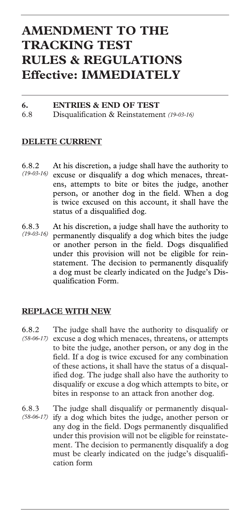# **AMENDMENT TO THE TRACKING TEST RULES & REGULATIONS Effective: IMMEDIATELY**

#### **6. ENTRIES & END OF TEST** 6.8 Disqualification & Reinstatement *(19-03-16)*

### **DELETE CURRENT**

- 6.8.2 At his discretion, a judge shall have the authority to excuse or disqualify a dog which menaces, threatens, attempts to bite or bites the judge, another person, or another dog in the field. When a dog is twice excused on this account, it shall have the status of a disqualified dog. *(19-03-16)*
- 6.8.3 At his discretion, a judge shall have the authority to permanently disqualify a dog which bites the judge or another person in the field. Dogs disqualified under this provision will not be eligible for reinstatement. The decision to permanently disqualify a dog must be clearly indicated on the Judge's Disqualification Form. *(19-03-16)*

### **REPLACE WITH NEW**

- 6.8.2 The judge shall have the authority to disqualify or (58-06-17) excuse a dog which menaces, threatens, or attempts to bite the judge, another person, or any dog in the field. If a dog is twice excused for any combination of these actions, it shall have the status of a disqualified dog. The judge shall also have the authority to disqualify or excuse a dog which attempts to bite, or bites in response to an attack fron another dog.
- 6.8.3 The judge shall disqualify or permanently disqualify a dog which bites the judge, another person or any dog in the field. Dogs permanently disqualified under this provision will not be eligible for reinstatement. The decision to permanently disqualify a dog must be clearly indicated on the judge's disqualification form *(58-06-17)*